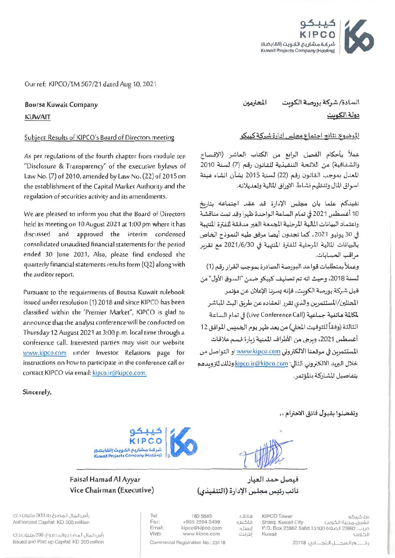

Our ref: KIPCO/TM 567/21 dated Aug 10, 2021

**Boursa Kuwait Company KUWAIT** 

#### Subject: Results of KIPCO's Board of Directors meeting

As per regulations of the fourth chapter from module ten "Disclosure & Transparency" of the executive bylaws of Law No. (7) of 2010, amended by Law No. (22) of 2015 on the establishment of the Capital Market Authority and the regulation of securities activity and its amendments.

We are pleased to inform you that the Board of Directors held its meeting on 10 August 2021 at 1:00 pm where it has discussed and approved the interim condensed consolidated unaudited financial statements for the period ended 30 June 2021, Also, please find enclosed the quarterly financial statements results form (Q2) along with the auditor report.

Pursuant to the requirements of Boursa Kuwait rulebook issued under resolution (1) 2018 and since KIPCO has been classified within the 'Premier Market", KIPCO is glad to announce that the analyst conference will be conducted on Thursday 12 August 2021 at 3:00 p.m. local time through a conference call. Interested parties may visit our website www.kipco.com under Investor Relations page for instructions on how to participate in the conference call or contact KIPCO via email: kipco.ir@kipco.com.

المحترمين السادة/ شركة بورصة الكوبت دولة الكوست

### الموضوع: نتائج اجتماع مجلس إدارة شركة كيبكو

عملاً بأحكام الفصل الرابع من الكتاب العاشر (الإفصاح والشفافية) من اللائحة التنفيذية للقانون رقم (7) لسنة 2010 المعدل بموجب القانون رقم (22) لسنة 2015 بشأن انشاء هيئة اسواق المال وتنظيم نشاط الاوراق المالية وتعديلاته.

نفيدكم علما بان مجلس الإدارة قد عقد اجتماعه بتاريخ 10 أغسطس 2021 في تمام الساعة الواحدة ظهرا وقد تمت مناقشة واعتماد البيانات المالية المرحلية المجمعة الغير مدققة للفترة المنتهية في 30 يونيو 2021، كما تجدون أيضا مرفق طيه النموذج الخاص بالبيانات المالية المرحلية للفترة المنتهية في 2021/6/30 مع تقربر مراقب الحسابات.

وعملاً بمتطلبات قواعد البورصة الصادرة بموجب القرار رقم (1) لسنة 2018، وحيث انه تم تصنيف كيبكو ضمن "السوق الأول" من قبل شركة بورصة الكوىت، فإنه يسرنا الإعلان عن مؤتمر المحللين/المستثمرين والذى تقرر انعقاده عن طريق البث الماشر لمكالمة هاتفية جماعية (Live Conference Call) في تمام الساعة الثالثة (وفقاً للتوقيت المحلي) من بعد ظهر يوم الخمس الموافق 12 أغسطس 2021، وبرجي من الأطراف المعنية زبارة قسم علاقات المستثمرين في موقعنا الالكتروني www.kipco.com او التواصل من خلال البريد الالكتروني التالي: kipco.ir@kipco.com وذلك لتزويدهم بتفاصيل المشاركة بالمؤتمر.

Sincerely,

وتفضلوا بقبول فائق الاحترام . .



Tel:

Fax:

Email:

Web:

### Faisal Hamad Al Ayyar Vice Chairman (Executive)

فيصل حمد العيار نائب رئيس مجلس الإدارة (التنفيذي)

هاتف؛

ابميل:

إنترنت.

فاكسا:

رأس المال المصرح به؛ 300 مليون د.ك Authorized Capital: KD 300 million

رأس المال المصدّر والمحفوع، 200 مليون د.ك Issued and Paid up Capital: KD 200 million

180 5885 +965 2294 3499 kipco@kipco.com www.kipco.com

Commercial Registration No.: 23118

**KIPCO Tower** برج کبرکو الشرق، مدينة الكويت Sharq, Kuwait City P.O. Box 23982 Safat 13100 قربب. 23982 P.O. Kuwait الكويت

رة \_\_\_\_ والسد \_\_ل الـتد\_\_\_ارى؛ 23118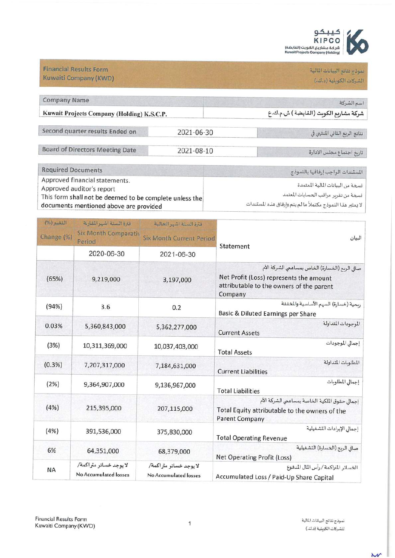

# نموذج تنانج البيانات المالية الشركات الكويقية (د.ك.)

**Financial Results Form** Kuwaiti Company (KWD)

| <b>Company Name</b>                        |            | اسم الشركة                            |
|--------------------------------------------|------------|---------------------------------------|
| Kuwait Projects Company (Holding) K.S.C.P. |            | شركة مشاربع الكوبت (الفابضة ) ش.م.ك.ع |
| Second quarter results Ended on            | 2021-06-30 | نتائج الربع الثاني المنتهي في         |
| <b>Board of Directors Meeting Date</b>     | 2021-08-10 | تاريخ اجتماع مجلس الإدارة             |

| Required Documents                                      | المستندات الواجب إرفاقها بالنموذج                          |
|---------------------------------------------------------|------------------------------------------------------------|
| Approved financial statements.                          |                                                            |
| Approved auditor's report                               | نسخة من البيانات المالية المعتمدة                          |
| This form shall not be deemed to be complete unless the | نسخة من تقرير مراقب الحسابات المعتمد                       |
| documents mentioned above are provided                  | لا يعتبر هذا النموذج مكتملأ ما لم يتم وإرفاق هذه المستندات |

|                                                                                                                                                  | فترة الستة اشهر الحالية                         | فترة الستة اشير القارنة                         | التغيير (%) |
|--------------------------------------------------------------------------------------------------------------------------------------------------|-------------------------------------------------|-------------------------------------------------|-------------|
| البيان<br>Statement                                                                                                                              | <b>Six Month Current Period</b>                 | <b>Six Month Comparativ</b><br>Period           | Change (%)  |
|                                                                                                                                                  | 2021-06-30                                      | 2020-06-30                                      |             |
| صافي الربح (الخسارة) الخاص بمساهمي الشركة الأم<br>Net Profit (Loss) represents the amount<br>attributable to the owners of the parent<br>Company | 3,197,000                                       | 9,219,000                                       | (65%)       |
| ربحية (خسارة) السهم الأساسية والمخففة<br>Basic & Diluted Earnings per Share                                                                      | 0.2                                             | 3.6                                             | (94%)       |
| الموجودات المتداولة<br><b>Current Assets</b>                                                                                                     | 5,362,277,000                                   | 5,360,843,000                                   | 0.03%       |
| إجمالي الموجودات<br><b>Total Assets</b>                                                                                                          | 10,037,403,000                                  | 10,311,369,000                                  | (3%)        |
| المطلوبات المتداولة<br><b>Current Liabilities</b>                                                                                                | 7,184,631,000                                   | 7,207,317,000                                   | (0.3% )     |
| إجمالى المطلوبات<br><b>Total Liabilities</b>                                                                                                     | 9,136,967,000                                   | 9,364,907,000                                   | (2%)        |
| إجمال حقوق الملكية الخاصة بمساهعي الشركة الأم<br>Total Equity attributable to the owners of the<br><b>Parent Company</b>                         | 207,115,000                                     | 215,395,000                                     | (4%)        |
| إجمالي الإيرادات التشغيلية<br><b>Total Operating Revenue</b>                                                                                     | 375,830,000                                     | 391,536,000                                     | (4%)        |
| صافي الربح (الخسارة) التشغيلية<br><b>Net Operating Profit (Loss)</b>                                                                             | 68,379,000                                      | 64,351,000                                      | 6%          |
| الخسائر المتراكمة / رأس المال المدفوع<br>Accumulated Loss / Paid-Up Share Capital                                                                | لا يوجد خسائر متراكمة/<br>No Accumulated losses | لا يوجد خسائر متراكمة/<br>No Accumulated losses | <b>NA</b>   |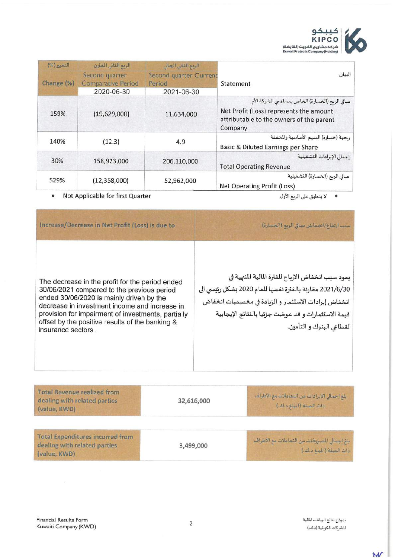

| $(96)$ $n31$<br>Change (%) | الربع الثاني المقارن<br>Second quarter<br><b>Comparative Period</b><br>2020-06-30 | الربع الثاني الحالي<br>Second quarter Current<br>Period<br>2021-06-30 | البيان<br>Statement                                                                                                                              |
|----------------------------|-----------------------------------------------------------------------------------|-----------------------------------------------------------------------|--------------------------------------------------------------------------------------------------------------------------------------------------|
| 159%                       | (19,629,000)                                                                      | 11,634,000                                                            | صافي الربح (الخسارة) الخاص بمساهمي الشركة الأم<br>Net Profit (Loss) represents the amount<br>attributable to the owners of the parent<br>Company |
| 140%                       | (12.3)                                                                            | 4.9                                                                   | ربحية (خسارة) السهم الأساسية والمخففة<br>Basic & Diluted Earnings per Share                                                                      |
| 30%                        | 158,923,000                                                                       | 206,110,000                                                           | إجمالي الإيرادات التشغيلية<br><b>Total Operating Revenue</b>                                                                                     |
| 529%                       | (12,358,000)                                                                      | 52,962,000                                                            | صافي الربح (الخسارة) التشغيلية<br><b>Net Operating Profit (Loss)</b>                                                                             |

Not Applicable for first Quarter  $\bullet$ 

· لا ينطبق على الربع الأول

| Increase/Decrease in Net Profit (Loss) is due to                                                                                                                                                                                                                                                    | سبب ارتفاع/انخفاض صافي الريع (الخسارة)                                                                                                                                                                                                                 |
|-----------------------------------------------------------------------------------------------------------------------------------------------------------------------------------------------------------------------------------------------------------------------------------------------------|--------------------------------------------------------------------------------------------------------------------------------------------------------------------------------------------------------------------------------------------------------|
| The decrease in the profit for the period ended<br>30/06/2021 compared to the previous period<br>ended 30/06/2020 is mainly driven by the<br>decrease in investment income and increase in<br>provision for impairment of investments, partially<br>offset by the positive results of the banking & | يعود سبب انخفاض الارباح للفترة المالية المنهية في<br>2021/6/30 مقارنة بالفترة نفسها للعام 2020 بشكل رئيسي الى<br>انخفاض إيرادات الاستثمار و الزبادة في مخصصات انخفاض<br>فيمة الاستثمارات وقد عوضت جزئيا بالنتائج الإيجابية<br>لقطاعي البنوك و التأمين. |
|                                                                                                                                                                                                                                                                                                     | بلغ إجمالي الإيرادات من التصاملات مع الأطراف<br>ذات الصلة (المبلغ د.لف)                                                                                                                                                                                |
|                                                                                                                                                                                                                                                                                                     | 32,616,000                                                                                                                                                                                                                                             |

| <b>Total Expenditures incurred from</b><br>ِ بِلَغِ إِجْمَالِ الْمَسْرُوقَاتِ مِنَ النَّعَامِلاتِ مَعِ الأَطْرَافَ<br>dealing with related parties<br>3,499,000<br>ذات الصلة (المبلغ د.ك.)<br>(value, KWD) |
|------------------------------------------------------------------------------------------------------------------------------------------------------------------------------------------------------------|
|------------------------------------------------------------------------------------------------------------------------------------------------------------------------------------------------------------|

 $\overline{M}$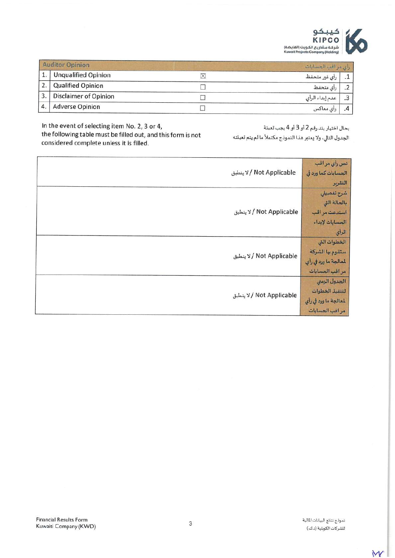

|    | <b>Auditor Opinion</b> | رأى مراقب الحسابات |  |
|----|------------------------|--------------------|--|
|    | 1. Unqualified Opinion | رأى غير متحفظ      |  |
|    | 2. Qualified Opinion   | رأى متحفظ          |  |
| 3. | Disclaimer of Opinion  | عدم إبداء الرأى    |  |
| 4. | <b>Adverse Opinion</b> | رأي معاكس          |  |

In the event of selecting item No. 2, 3 or 4,

the following table must be filled out, and this form is not considered complete unless it is filled.

بحال اختيار بند رقم 2 أو 3 أو 4 يجب تعبئة

الجدول التالي، ولا يعتبر هذا النموذج مكتملأ ما لم يتم تعبئته

| الاينطبق / Not Applicable     | نص رأي مر اقب<br>الحسابات كما ورد في<br>التقرير                             |
|-------------------------------|-----------------------------------------------------------------------------|
| لا ينطبق / Not Applicable     | شرح تفصيلي<br>بالحالة التي<br>استدعت مراقب<br>الحسابات لإبداء<br>الرأي      |
| ا لا ينطبق / Not Applicable   | الخطوات التى<br>ستقوم بها الشركة<br>لمعالجة ما ورد في رأي<br>مراقب الحسابات |
| ا / لا ينطبق / Not Applicable | الجدول الزمني<br>لتنفيذ الخطوات<br>لمعالجة ما ورد في رأي<br>مراقب الحسابات  |

W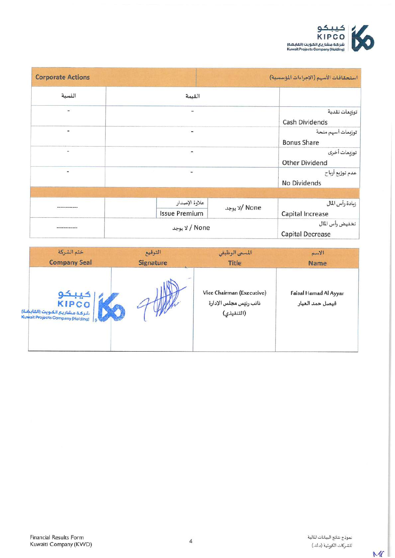

| <b>Corporate Actions</b>     |                          | استحقاقات الأسهم (الإجراءات المؤسسية) |                                            |
|------------------------------|--------------------------|---------------------------------------|--------------------------------------------|
| النسبة                       | القيمة                   |                                       |                                            |
| -                            | i.                       |                                       | توزيعات نقدية<br>Cash Dividends            |
| ۰                            | -                        |                                       | توزيعات أسهم منحة<br><b>Bonus Share</b>    |
| $\qquad \qquad \blacksquare$ | ÷                        |                                       | توزيعات أخرى<br><b>Other Dividend</b>      |
| ٠                            | $\overline{\phantom{a}}$ |                                       | عدم توزيع أرباح<br>No Dividends            |
|                              |                          |                                       |                                            |
|                              | علاوة الإصدار            | None /لا يوجد                         | زيادة رأس المال                            |
|                              | <b>Issue Premium</b>     |                                       | Capital Increase                           |
|                              | None / لا يوجد           |                                       | تخفيض رأس المال<br><b>Capital Decrease</b> |

| ختم الشركة                                                                                 | التوقيع          | المسمى الوظيفي                                                    | الاسم       |
|--------------------------------------------------------------------------------------------|------------------|-------------------------------------------------------------------|-------------|
| <b>Company Seal</b>                                                                        | <b>Signature</b> | Title                                                             | <b>Name</b> |
| حيبكه<br><b>KIPCO</b><br>شركة مشاريع الكويت (القابضة)<br>Kuwait Projects Company (Holding) |                  | Vice Chairman (Executive)<br>نائب رئيس مجلس الإدارة<br>(التنفيذي) |             |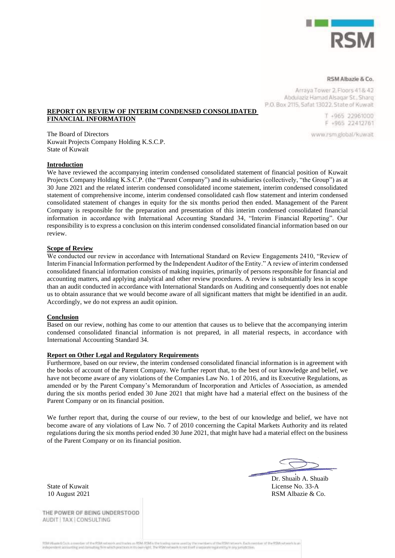

#### RSM Albazie & Co.

Arraya Tower 2, Floors 41& 42 Abdulaziz Hamad Alsagar St., Sharq P.O. Box 2115, Safat 13022. State of Kuwait

> T +965 22961000 F +965 22412761

www.rsm.global/kuwait

**REPORT ON REVIEW OF INTERIM CONDENSED CONSOLIDATED FINANCIAL INFORMATION**

The Board of Directors Kuwait Projects Company Holding K.S.C.P. State of Kuwait

#### **Introduction**

We have reviewed the accompanying interim condensed consolidated statement of financial position of Kuwait Projects Company Holding K.S.C.P. (the "Parent Company") and its subsidiaries (collectively, "the Group") as at 30 June 2021 and the related interim condensed consolidated income statement, interim condensed consolidated statement of comprehensive income, interim condensed consolidated cash flow statement and interim condensed consolidated statement of changes in equity for the six months period then ended. Management of the Parent Company is responsible for the preparation and presentation of this interim condensed consolidated financial information in accordance with International Accounting Standard 34, "Interim Financial Reporting". Our responsibility is to express a conclusion on this interim condensed consolidated financial information based on our review.

#### **Scope of Review**

We conducted our review in accordance with International Standard on Review Engagements 2410, "Review of Interim Financial Information performed by the Independent Auditor of the Entity." A review of interim condensed consolidated financial information consists of making inquiries, primarily of persons responsible for financial and accounting matters, and applying analytical and other review procedures. A review is substantially less in scope than an audit conducted in accordance with International Standards on Auditing and consequently does not enable us to obtain assurance that we would become aware of all significant matters that might be identified in an audit. Accordingly, we do not express an audit opinion.

#### **Conclusion**

Based on our review, nothing has come to our attention that causes us to believe that the accompanying interim condensed consolidated financial information is not prepared, in all material respects, in accordance with International Accounting Standard 34.

#### **Report on Other Legal and Regulatory Requirements**

Furthermore, based on our review, the interim condensed consolidated financial information is in agreement with the books of account of the Parent Company. We further report that, to the best of our knowledge and belief, we have not become aware of any violations of the Companies Law No. 1 of 2016, and its Executive Regulations, as amended or by the Parent Company's Memorandum of Incorporation and Articles of Association, as amended during the six months period ended 30 June 2021 that might have had a material effect on the business of the Parent Company or on its financial position.

We further report that, during the course of our review, to the best of our knowledge and belief, we have not become aware of any violations of Law No. 7 of 2010 concerning the Capital Markets Authority and its related regulations during the six months period ended 30 June 2021, that might have had a material effect on the business of the Parent Company or on its financial position.

Dr. Shuaib A. Shuaib State of Kuwait License No. 33-A 10 August 2021 RSM Albazie & Co.

THE POWER OF BEING UNDERSTOOD AUDIT | TAX | CONSULTING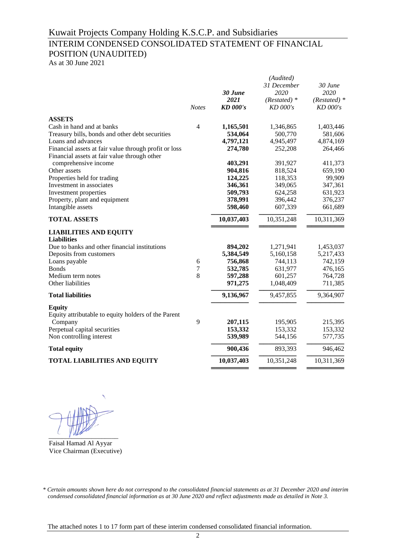## Kuwait Projects Company Holding K.S.C.P. and Subsidiaries

# INTERIM CONDENSED CONSOLIDATED STATEMENT OF FINANCIAL POSITION (UNAUDITED)

As at 30 June 2021

|                                                                                                                                                                                                                              | <b>Notes</b>   | 30 June<br>2021<br><b>KD</b> 000's                               | (Audited)<br>31 December<br>2020<br>$(Restated)*$<br>KD 000's        | 30 June<br>2020<br>$(Restated)*$<br>KD 000's                       |
|------------------------------------------------------------------------------------------------------------------------------------------------------------------------------------------------------------------------------|----------------|------------------------------------------------------------------|----------------------------------------------------------------------|--------------------------------------------------------------------|
|                                                                                                                                                                                                                              |                |                                                                  |                                                                      |                                                                    |
| <b>ASSETS</b><br>Cash in hand and at banks<br>Treasury bills, bonds and other debt securities<br>Loans and advances<br>Financial assets at fair value through profit or loss<br>Financial assets at fair value through other | $\overline{4}$ | 1,165,501<br>534,064<br>4,797,121<br>274,780                     | 1,346,865<br>500,770<br>4,945,497<br>252,208                         | 1,403,446<br>581,606<br>4,874,169<br>264,466                       |
| comprehensive income                                                                                                                                                                                                         |                | 403,291                                                          | 391,927                                                              | 411,373                                                            |
| Other assets<br>Properties held for trading<br>Investment in associates<br>Investment properties<br>Property, plant and equipment<br>Intangible assets                                                                       |                | 904,816<br>124,225<br>346,361<br>509,793<br>378,991<br>598,460   | 818,524<br>118,353<br>349,065<br>624,258<br>396,442<br>607,339       | 659,190<br>99,909<br>347,361<br>631,923<br>376,237<br>661,689      |
| <b>TOTAL ASSETS</b>                                                                                                                                                                                                          |                | 10,037,403                                                       | 10,351,248                                                           | 10,311,369                                                         |
| <b>LIABILITIES AND EQUITY</b><br><b>Liabilities</b><br>Due to banks and other financial institutions<br>Deposits from customers<br>Loans payable<br><b>Bonds</b><br>Medium term notes<br>Other liabilities                   | 6<br>7<br>8    | 894,202<br>5,384,549<br>756,868<br>532,785<br>597,288<br>971,275 | 1,271,941<br>5,160,158<br>744,113<br>631,977<br>601,257<br>1,048,409 | 1,453,037<br>5,217,433<br>742,159<br>476,165<br>764,728<br>711,385 |
| <b>Total liabilities</b>                                                                                                                                                                                                     |                | 9,136,967                                                        | 9,457,855                                                            | 9,364,907                                                          |
| <b>Equity</b><br>Equity attributable to equity holders of the Parent<br>Company<br>Perpetual capital securities<br>Non controlling interest                                                                                  | 9              | 207,115<br>153,332<br>539,989                                    | 195,905<br>153,332<br>544,156                                        | 215,395<br>153,332<br>577,735                                      |
| <b>Total equity</b>                                                                                                                                                                                                          |                | 900,436                                                          | 893,393                                                              | 946,462                                                            |
| <b>TOTAL LIABILITIES AND EQUITY</b>                                                                                                                                                                                          |                | 10,037,403                                                       | 10,351,248                                                           | 10,311,369                                                         |
|                                                                                                                                                                                                                              |                |                                                                  |                                                                      |                                                                    |

 $\sim$   $\sim$ 

Faisal Hamad Al Ayyar Vice Chairman (Executive)

*<sup>\*</sup> Certain amounts shown here do not correspond to the consolidated financial statements as at 31 December 2020 and interim condensed consolidated financial information as at 30 June 2020 and reflect adjustments made as detailed in Note 3.*